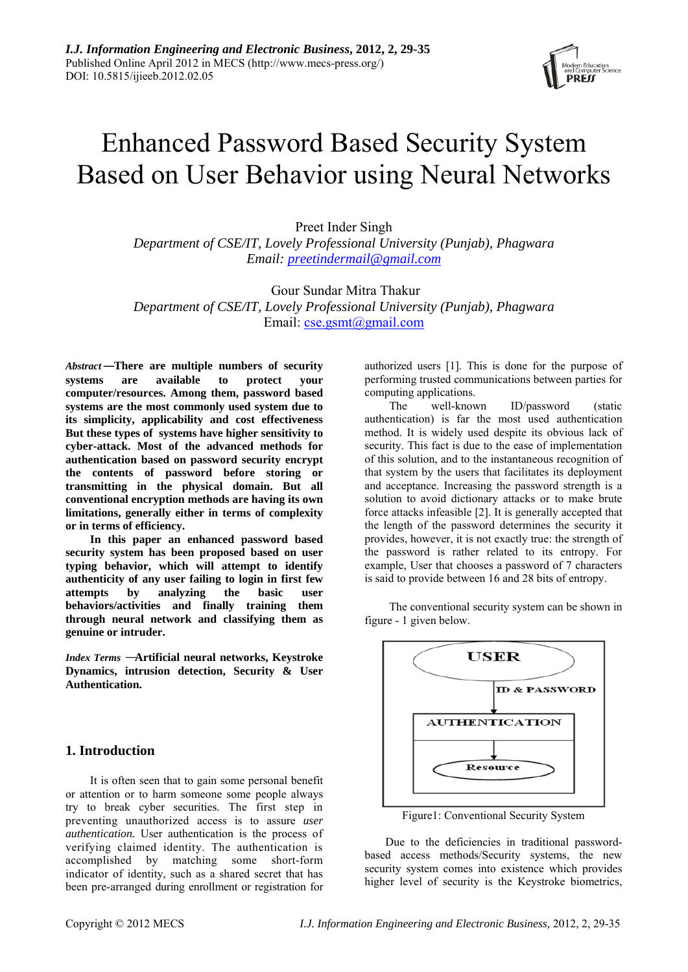

# Enhanced Password Based Security System Based on User Behavior using Neural Networks

Preet Inder Singh *Department of CSE/IT, Lovely Professional University (Punjab), Phagwara Email: preetindermail@gmail.com*

 Gour Sundar Mitra Thakur *Department of CSE/IT, Lovely Professional University (Punjab), Phagwara*  Email: cse.gsmt@gmail.com

*Abstract*—**There are multiple numbers of security systems are available to protect your computer/resources. Among them, password based systems are the most commonly used system due to its simplicity, applicability and cost effectiveness But these types of systems have higher sensitivity to cyber-attack. Most of the advanced methods for authentication based on password security encrypt the contents of password before storing or transmitting in the physical domain. But all conventional encryption methods are having its own limitations, generally either in terms of complexity or in terms of efficiency.** 

**In this paper an enhanced password based security system has been proposed based on user typing behavior, which will attempt to identify authenticity of any user failing to login in first few attempts by analyzing the basic user behaviors/activities and finally training them through neural network and classifying them as genuine or intruder.** 

*Index Terms* —**Artificial neural networks, Keystroke Dynamics, intrusion detection, Security & User Authentication.** 

# **1. Introduction**

It is often seen that to gain some personal benefit or attention or to harm someone some people always try to break cyber securities. The first step in preventing unauthorized access is to assure *user authentication.* User authentication is the process of verifying claimed identity. The authentication is accomplished by matching some short-form indicator of identity, such as a shared secret that has been pre-arranged during enrollment or registration for authorized users [1]. This is done for the purpose of performing trusted communications between parties for computing applications.

The well-known ID/password (static authentication) is far the most used authentication method. It is widely used despite its obvious lack of security. This fact is due to the ease of implementation of this solution, and to the instantaneous recognition of that system by the users that facilitates its deployment and acceptance. Increasing the password strength is a solution to avoid dictionary attacks or to make brute force attacks infeasible [2]. It is generally accepted that the length of the password determines the security it provides, however, it is not exactly true: the strength of the password is rather related to its entropy. For example, User that chooses a password of 7 characters is said to provide between 16 and 28 bits of entropy.

The conventional security system can be shown in figure - 1 given below.



Figure1: Conventional Security System

Due to the deficiencies in traditional passwordbased access methods/Security systems, the new security system comes into existence which provides higher level of security is the Keystroke biometrics,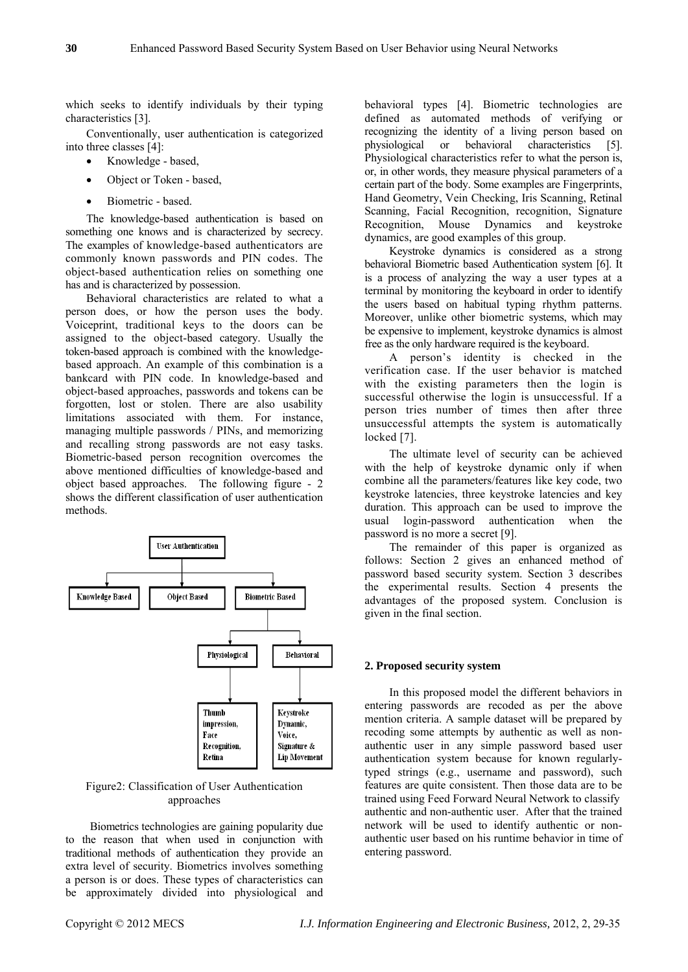which seeks to identify individuals by their typing characteristics [3].

Conventionally, user authentication is categorized into three classes [4]:

- Knowledge based,
- Object or Token based,
- Biometric based.

The knowledge-based authentication is based on something one knows and is characterized by secrecy. The examples of knowledge-based authenticators are commonly known passwords and PIN codes. The object-based authentication relies on something one has and is characterized by possession.

Behavioral characteristics are related to what a person does, or how the person uses the body. Voiceprint, traditional keys to the doors can be assigned to the object-based category. Usually the token-based approach is combined with the knowledgebased approach. An example of this combination is a bankcard with PIN code. In knowledge-based and object-based approaches, passwords and tokens can be forgotten, lost or stolen. There are also usability limitations associated with them. For instance, managing multiple passwords / PINs, and memorizing and recalling strong passwords are not easy tasks. Biometric-based person recognition overcomes the above mentioned difficulties of knowledge-based and object based approaches. The following figure - 2 shows the different classification of user authentication methods.



Figure2: Classification of User Authentication approaches

Biometrics technologies are gaining popularity due to the reason that when used in conjunction with traditional methods of authentication they provide an extra level of security. Biometrics involves something a person is or does. These types of characteristics can be approximately divided into physiological and

behavioral types [4]. Biometric technologies are defined as automated methods of verifying or recognizing the identity of a living person based on physiological or behavioral characteristics [5]. Physiological characteristics refer to what the person is, or, in other words, they measure physical parameters of a certain part of the body. Some examples are Fingerprints, Hand Geometry, Vein Checking, Iris Scanning, Retinal Scanning, Facial Recognition, recognition, Signature Recognition, Mouse Dynamics and keystroke dynamics, are good examples of this group.

Keystroke dynamics is considered as a strong behavioral Biometric based Authentication system [6]. It is a process of analyzing the way a user types at a terminal by monitoring the keyboard in order to identify the users based on habitual typing rhythm patterns. Moreover, unlike other biometric systems, which may be expensive to implement, keystroke dynamics is almost free as the only hardware required is the keyboard.

A person's identity is checked in the verification case. If the user behavior is matched with the existing parameters then the login is successful otherwise the login is unsuccessful. If a person tries number of times then after three unsuccessful attempts the system is automatically locked [7].

The ultimate level of security can be achieved with the help of keystroke dynamic only if when combine all the parameters/features like key code, two keystroke latencies, three keystroke latencies and key duration. This approach can be used to improve the usual login-password authentication when the password is no more a secret [9].

The remainder of this paper is organized as follows: Section 2 gives an enhanced method of password based security system. Section 3 describes the experimental results. Section 4 presents the advantages of the proposed system. Conclusion is given in the final section.

#### **2. Proposed security system**

In this proposed model the different behaviors in entering passwords are recoded as per the above mention criteria. A sample dataset will be prepared by recoding some attempts by authentic as well as nonauthentic user in any simple password based user authentication system because for known regularlytyped strings (e.g., username and password), such features are quite consistent. Then those data are to be trained using Feed Forward Neural Network to classify authentic and non-authentic user. After that the trained network will be used to identify authentic or nonauthentic user based on his runtime behavior in time of entering password.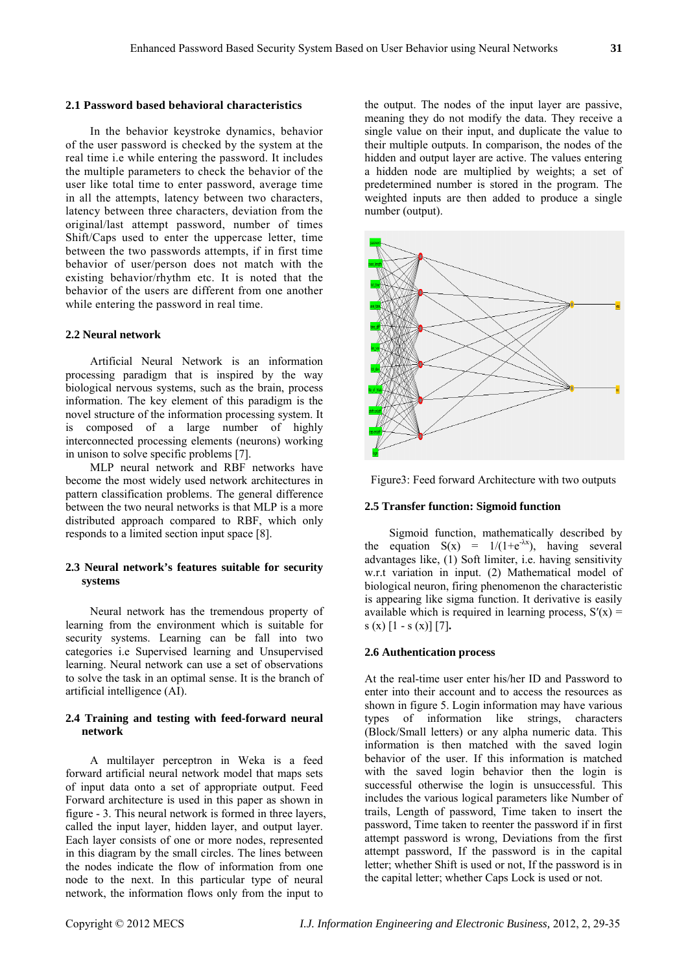#### **2.1 Password based behavioral characteristics**

In the behavior keystroke dynamics, behavior of the user password is checked by the system at the real time i.e while entering the password. It includes the multiple parameters to check the behavior of the user like total time to enter password, average time in all the attempts, latency between two characters, latency between three characters, deviation from the original/last attempt password, number of times Shift/Caps used to enter the uppercase letter, time between the two passwords attempts, if in first time behavior of user/person does not match with the existing behavior/rhythm etc. It is noted that the behavior of the users are different from one another while entering the password in real time.

## **2.2 Neural network**

Artificial Neural Network is an information processing paradigm that is inspired by the way biological nervous systems, such as the brain, process information. The key element of this paradigm is the novel structure of the information processing system. It is composed of a large number of highly interconnected processing elements (neurons) working in unison to solve specific problems [7].

MLP neural network and RBF networks have become the most widely used network architectures in pattern classification problems. The general difference between the two neural networks is that MLP is a more distributed approach compared to RBF, which only responds to a limited section input space [8].

## **2.3 Neural network's features suitable for security systems**

Neural network has the tremendous property of learning from the environment which is suitable for security systems. Learning can be fall into two categories i.e Supervised learning and Unsupervised learning. Neural network can use a set of observations to solve the task in an optimal sense. It is the branch of artificial intelligence (AI).

### **2.4 Training and testing with feed-forward neural network**

A multilayer perceptron in Weka is a feed forward artificial neural network model that maps sets of input data onto a set of appropriate output. Feed Forward architecture is used in this paper as shown in figure - 3. This neural network is formed in three layers, called the input layer, hidden layer, and output layer. Each layer consists of one or more nodes, represented in this diagram by the small circles. The lines between the nodes indicate the flow of information from one node to the next. In this particular type of neural network, the information flows only from the input to

the output. The nodes of the input layer are passive, meaning they do not modify the data. They receive a single value on their input, and duplicate the value to their multiple outputs. In comparison, the nodes of the hidden and output layer are active. The values entering a hidden node are multiplied by weights; a set of predetermined number is stored in the program. The weighted inputs are then added to produce a single number (output).





### **2.5 Transfer function: Sigmoid function**

Sigmoid function, mathematically described by the equation  $S(x) = 1/(1+e^{-\lambda x})$ , having several advantages like, (1) Soft limiter, i.e. having sensitivity w.r.t variation in input. (2) Mathematical model of biological neuron, firing phenomenon the characteristic is appearing like sigma function. It derivative is easily available which is required in learning process,  $S'(x) =$  $s(x)$  [1 - s (x)] [7].

## **2.6 Authentication process**

At the real-time user enter his/her ID and Password to enter into their account and to access the resources as shown in figure 5. Login information may have various types of information like strings, characters (Block/Small letters) or any alpha numeric data. This information is then matched with the saved login behavior of the user. If this information is matched with the saved login behavior then the login is successful otherwise the login is unsuccessful. This includes the various logical parameters like Number of trails, Length of password, Time taken to insert the password, Time taken to reenter the password if in first attempt password is wrong, Deviations from the first attempt password, If the password is in the capital letter; whether Shift is used or not, If the password is in the capital letter; whether Caps Lock is used or not.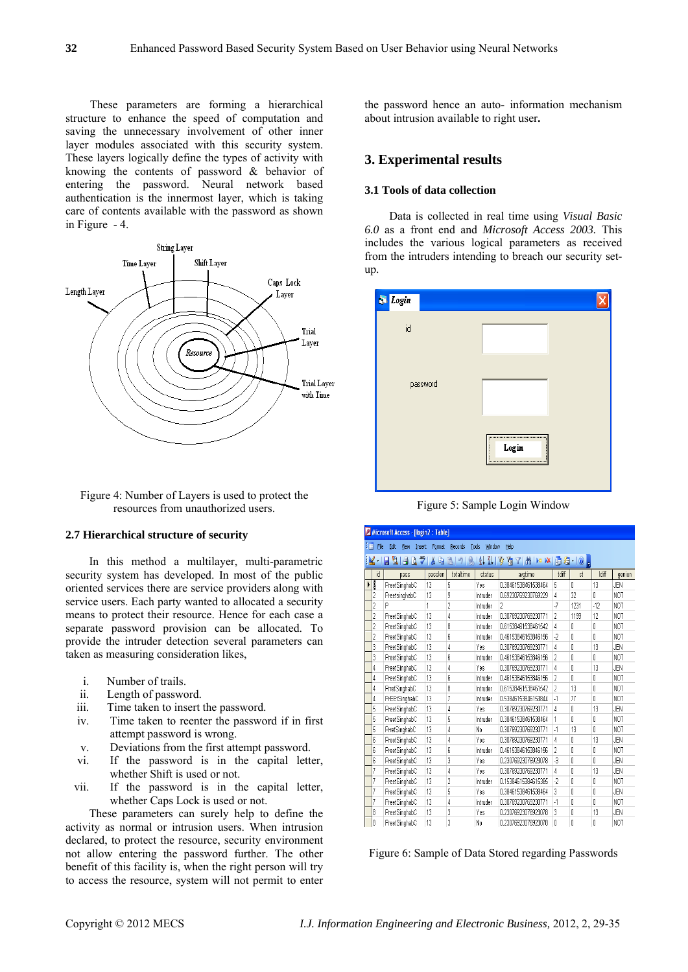These parameters are forming a hierarchical structure to enhance the speed of computation and saving the unnecessary involvement of other inner layer modules associated with this security system. These layers logically define the types of activity with knowing the contents of password & behavior of entering the password. Neural network based authentication is the innermost layer, which is taking care of contents available with the password as shown in Figure - 4.





### **2.7 Hierarchical structure of security**

In this method a multilayer, multi-parametric security system has developed. In most of the public oriented services there are service providers along with service users. Each party wanted to allocated a security means to protect their resource. Hence for each case a separate password provision can be allocated. To provide the intruder detection several parameters can taken as measuring consideration likes,

- i. Number of trails.
- ii. Length of password.
- iii. Time taken to insert the password.
- iv. Time taken to reenter the password if in first attempt password is wrong.
- v. Deviations from the first attempt password.
- vi. If the password is in the capital letter, whether Shift is used or not.
- vii. If the password is in the capital letter, whether Caps Lock is used or not.

These parameters can surely help to define the activity as normal or intrusion users. When intrusion declared, to protect the resource, security environment not allow entering the password further. The other benefit of this facility is, when the right person will try to access the resource, system will not permit to enter

the password hence an auto- information mechanism about intrusion available to right user**.** 

# **3. Experimental results**

#### **3.1 Tools of data collection**

Data is collected in real time using *Visual Basic 6.0* as a front end and *Microsoft Access 2003.* This includes the various logical parameters as received from the intruders intending to breach our security setup.



Figure 5: Sample Login Window

| Microsoft Access - [login2 : Table]                                                  |                                                                                                                                     |               |         |                |          |                     |                |      |       |            |
|--------------------------------------------------------------------------------------|-------------------------------------------------------------------------------------------------------------------------------------|---------------|---------|----------------|----------|---------------------|----------------|------|-------|------------|
| łπ<br>File<br>Edit<br>Window<br>Help<br>View<br>Format<br>Records<br>Tools<br>Insert |                                                                                                                                     |               |         |                |          |                     |                |      |       |            |
|                                                                                      | $\frac{Z}{A}$<br>ولا<br>y<br>Y<br>$\mathbf{K}$<br>$\frac{A}{Z}$<br>A > × □ 2 · 0 。<br>Ю<br>Q<br>$\triangledown$<br>A<br>₫<br>Ы<br>り |               |         |                |          |                     |                |      |       |            |
|                                                                                      | id                                                                                                                                  | pass          | passlen | totaltime      | status   | avgtime             | tdiff          | st   | Idiff | geniun     |
|                                                                                      | I                                                                                                                                   | PreetSinghabC | 13      | 5              | Yes      | 0.38461538461538464 | 5              | Ñ    | 13    | JEN        |
|                                                                                      | 2                                                                                                                                   | PreetsinghabC | 13      | 9              | Intruder | 0.69230769230769229 | 4              | 32   | Ñ     | <b>NOT</b> |
|                                                                                      |                                                                                                                                     | P             | 1       | $\overline{c}$ | Intruder | 2                   | 7              | 1231 | $-12$ | <b>NOT</b> |
|                                                                                      | 2                                                                                                                                   | PreetSinghabC | 13      | 4              | Intruder | 0.30769230769230771 | $\overline{2}$ | 1199 | 12    | <b>NOT</b> |
|                                                                                      | 2                                                                                                                                   | PreetSinghabC | 13      | 8              | Intruder | 0.61538461538461542 | 4              | ٥    | Ō     | <b>NOT</b> |
|                                                                                      | $\overline{2}$                                                                                                                      | PreetSinghabC | 13      | 6              | Intruder | 0.46153846153846156 | $\cdot$        | Ō    | Ō     | <b>NOT</b> |
|                                                                                      | 3                                                                                                                                   | PreetSinghabC | 13      | 4              | Yes      | 0.30769230769230771 | 4              | Ō    | 13    | JEN        |
|                                                                                      | 3                                                                                                                                   | PreetSinghabC | 13      | 6              | Intruder | 0.46153846153846156 | <sup>2</sup>   | Ō    | Ñ     | <b>NOT</b> |
|                                                                                      | 4                                                                                                                                   | PreetSinghabC | 13      | 4              | Yes      | 0.30769230769230771 | 4              | Ō    | 13    | JEN        |
|                                                                                      | 4                                                                                                                                   | PreetSinghabC | 13      | 6              | Intruder | 0.46153846153846156 | $\overline{2}$ | ĥ    | ſ     | <b>NOT</b> |
|                                                                                      | 4                                                                                                                                   | PrretSinghabC | 13      | 8              | Intruder | 0.61538461538461542 | $\overline{2}$ | 13   | O     | <b>NOT</b> |
|                                                                                      | 4                                                                                                                                   | PrEEtSinghabC | 13      | 7              | Intruder | 0.53846153846153844 | $\cdot$        | 77   | Ō     | <b>NOT</b> |
|                                                                                      | 5                                                                                                                                   | PreetSinghabC | 13      | 4              | Yes      | 0.30769230769230771 | 4              | ۵    | 13    | JEN        |
|                                                                                      | 5                                                                                                                                   | PreetSinghabC | 13      | 5              | Intruder | 0.38461538461538464 | 1              | Ō    | Ō     | <b>NOT</b> |
|                                                                                      | 5                                                                                                                                   | PrretSinghabC | 13      | 4              | No       | 0.30769230769230771 | $\cdot$ 1      | 13   | Ō     | <b>NOT</b> |
|                                                                                      | 6                                                                                                                                   | PreetSinghabC | 13      | 4              | Yes      | 0.30769230769230771 | 4              | Ō    | 13    | JEN        |
|                                                                                      | 6                                                                                                                                   | PreetSinghabC | 13      | 6              | Intruder | 0.46153846153846156 | $\overline{2}$ | Ō    | O     | <b>NOT</b> |
|                                                                                      | 6                                                                                                                                   | PreetSinghabC | 13      | 3              | Yes      | 0.23076923076923078 | $\overline{3}$ | Ō    | Ō     | JEN        |
|                                                                                      | 7                                                                                                                                   | PreetSinghabC | 13      | 4              | Yes      | 0.30769230769230771 | 4              | 0    | 13    | JEN        |
|                                                                                      | 7                                                                                                                                   | PreetSinghabC | 13      | $\overline{c}$ | Intruder | 0.15384615384615385 | $\cdot$ 2      | Ō    | O     | <b>NOT</b> |
|                                                                                      | 7                                                                                                                                   | PreetSinghabC | 13      | 5              | Yes      | 0.38461538461538464 | 3              | 0    | 0     | JEN        |
|                                                                                      | 7                                                                                                                                   | PreetSinghabC | 13      | 4              | Intruder | 0.30769230769230771 | $\cdot$        | Ō    | Ō     | <b>NOT</b> |
|                                                                                      | 8                                                                                                                                   | PreetSinghabC | 13      | 3              | Yes      | 0.23076923076923078 | 3              | 0    | 13    | JEN        |
|                                                                                      | 8                                                                                                                                   | PreetSinghabC | 13      | 3              | No       | 0.23076923076923078 | 0              | 0    | Ō     | <b>NOT</b> |

Figure 6: Sample of Data Stored regarding Passwords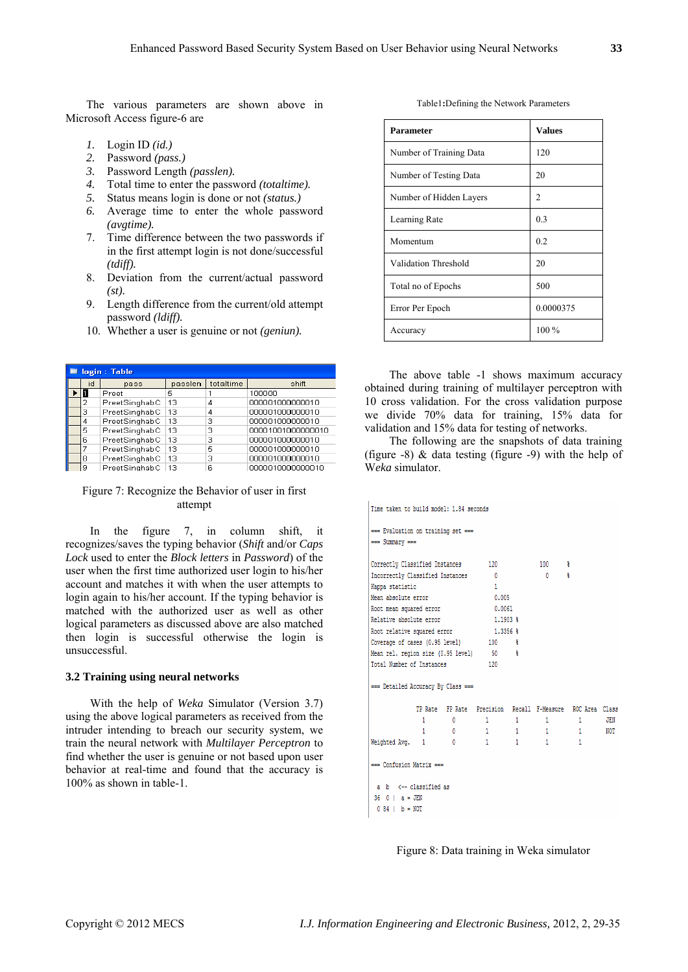The various parameters are shown above in Microsoft Access figure-6 are

- *1.* Login ID *(id.)*
- *2.* Password *(pass.)*
- *3.* Password Length *(passlen).*
- *4.* Total time to enter the password *(totaltime).*
- *5.* Status means login is done or not *(status.)*
- *6.* Average time to enter the whole password *(avgtime).*
- 7. Time difference between the two passwords if in the first attempt login is not done/successful *(tdiff).*
- 8. Deviation from the current/actual password *(st).*
- 9. Length difference from the current/old attempt password *(ldiff).*
- 10. Whether a user is genuine or not *(geniun).*

| <b>Ⅲ</b> login : Table |    |               |         |           |                   |  |  |  |
|------------------------|----|---------------|---------|-----------|-------------------|--|--|--|
|                        | id | pass          | passlen | totaltime | shift             |  |  |  |
|                        |    | Preet         | 5       |           | 100000            |  |  |  |
|                        |    | PreetSinghabC | 13      | 4         | 000001000000010   |  |  |  |
|                        | З  | PreetSinghabC | 13      | 4         | 000001000000010   |  |  |  |
|                        | 4  | PreetSinghabC | 13      | з         | 000001000000010   |  |  |  |
|                        | 5  | PreetSinghabC | 13      | з         | 00001001000000010 |  |  |  |
|                        | 6  | PreetSinghabC | 13      | з         | 000001000000010   |  |  |  |
|                        |    | PreetSinghabC | 13      | 5         | 000001000000010   |  |  |  |
|                        | 8  | PreetSinghabC | 13      | з         | 000001000000010   |  |  |  |
|                        | 9  | PreetSinghabC | 13      | 6         | 0000010000000010  |  |  |  |

#### Figure 7: Recognize the Behavior of user in first attempt

In the figure 7, in column shift, it recognizes/saves the typing behavior (*Shift* and/or *Caps Lock* used to enter the *Block letters* in *Password*) of the user when the first time authorized user login to his/her account and matches it with when the user attempts to login again to his/her account. If the typing behavior is matched with the authorized user as well as other logical parameters as discussed above are also matched then login is successful otherwise the login is unsuccessful.

### **3.2 Training using neural networks**

With the help of *Weka* Simulator (Version 3.7) using the above logical parameters as received from the intruder intending to breach our security system, we train the neural network with *Multilayer Perceptron* to find whether the user is genuine or not based upon user behavior at real-time and found that the accuracy is 100% as shown in table-1.

Table1**:**Defining the Network Parameters

| <b>Parameter</b>        | <b>Values</b> |
|-------------------------|---------------|
| Number of Training Data | 120           |
| Number of Testing Data  | 20            |
| Number of Hidden Layers | 2             |
| Learning Rate           | 0.3           |
| Momentum                | 0.2           |
| Validation Threshold    | 20            |
| Total no of Epochs      | 500           |
| Error Per Epoch         | 0.0000375     |
| Accuracy                | 100 %         |

The above table -1 shows maximum accuracy obtained during training of multilayer perceptron with 10 cross validation. For the cross validation purpose we divide 70% data for training, 15% data for validation and 15% data for testing of networks.

The following are the snapshots of data training (figure -8) & data testing (figure -9) with the help of W*eka* simulator.

```
Time taken to build model: 1.84 seconds
 === Evaluation on training set ===
 === Summary ===
Correctly Classified Instances
                                             120
                                                                  100
                                                                            \ddot{\phantom{1}}Incorrectly Classified Instances
                                              \overline{0}\overline{0}\ddot{\mathbf{z}}Kappa statistic
                                              \overline{1}Mean absolute error
                                               0.005Root mean squared error
                                              0.0061
Relative absolute error
                                              1.1903 $
Root relative squared error
                                              1.33563Coverage of cases (0.95 level)
                                             100 \frac{1}{3}Mean rel. region size (0.95 level)
                                             -50- Ş
Total Number of Instances
                                              120
 === Detailed Accuracy By Class ===
                 TP Rate FP Rate Precision Recall F-Measure ROC Area Class
                   \begin{array}{cccccccccc} 1 & & & & 0 & & & \end{array}\mathbf{1}\mathbf{1} , and \mathbf{1}\mathbf{1}JEN
                   \overline{1}\overline{0}\overline{1}\overline{1}-1\overline{1}NOT
                \sim 1
                                            \overline{1}\overline{1}\overline{1}Weighted Avg.
                               \sim=== Confusion Matrix ===
  a \ b \ \leftarrow \text{classified as}36 - 0 + a = JEN0.84 | b = NOT
```
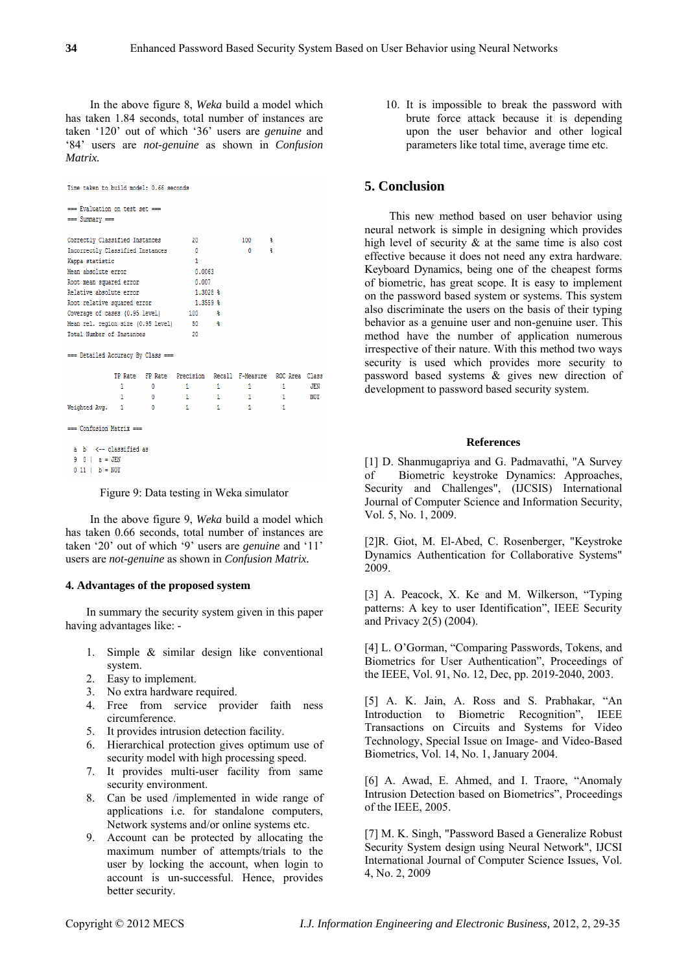In the above figure 8, *Weka* build a model which has taken 1.84 seconds, total number of instances are taken '120' out of which '36' users are *genuine* and '84' users are *not-genuine* as shown in *Confusion Matrix.* 

| Time taken to build model: 0.66 seconds |    |   |                     |              |              |                                                          |            |  |
|-----------------------------------------|----|---|---------------------|--------------|--------------|----------------------------------------------------------|------------|--|
| === Evaluation on test set ===          |    |   |                     |              |              |                                                          |            |  |
| $==$ Summary $==$                       |    |   |                     |              |              |                                                          |            |  |
| Correctly Classified Instances          | 20 |   | $100$ $\frac{8}{3}$ |              |              |                                                          |            |  |
| Incorrectly Classified Instances        |    |   | $\mathbf{0}$        |              |              |                                                          |            |  |
| Kappa statistic                         |    |   | 1                   |              |              |                                                          |            |  |
| Mean absolute error                     |    |   | 0.0063              |              |              |                                                          |            |  |
|                                         |    |   | 0.007               |              |              |                                                          |            |  |
| Root mean squared error                 |    |   |                     |              |              |                                                          |            |  |
| Relative absolute error                 |    |   | 1,3028 %            |              |              |                                                          |            |  |
| Root relative squared error             |    |   | $1.3559$ \$         |              |              |                                                          |            |  |
| Coverage of cases (0.95 level) 100 %    |    |   |                     |              |              |                                                          |            |  |
| Mean rel. region size (0.95 level) 50 % |    |   |                     |              |              |                                                          |            |  |
| Total Number of Instances               |    |   | 20                  |              |              |                                                          |            |  |
| === Detailed Accuracy By Class ===      |    |   |                     |              |              |                                                          |            |  |
|                                         |    |   |                     |              |              |                                                          |            |  |
|                                         |    |   |                     |              |              | TP Rate FP Rate Precision Recall F-Measure ROC Area Clas |            |  |
|                                         | 1  | 0 | 1.                  | 1            | $1 -$        | 1                                                        | JEN        |  |
|                                         | 1. | 0 | $\sim$ $-1$<br>1.   |              | $1 - 1$      | $\mathbf{1}$                                             | <b>NOT</b> |  |
| Weighted Avg. 1                         |    | 0 | 1.                  | $\mathbf{1}$ | $\mathbf{1}$ | 1                                                        |            |  |
| $==$ Confusion Matrix $==$              |    |   |                     |              |              |                                                          |            |  |
| a b <-- classified as                   |    |   |                     |              |              |                                                          |            |  |
| $0 \t 0 \t - =$ TFN                     |    |   |                     |              |              |                                                          |            |  |

Figure 9: Data testing in Weka simulator

In the above figure 9, *Weka* build a model which has taken 0.66 seconds, total number of instances are taken '20' out of which '9' users are *genuine* and '11' users are *not-genuine* as shown in *Confusion Matrix.* 

#### **4. Advantages of the proposed system**

 $0 11$  |  $b = NOT$ 

In summary the security system given in this paper having advantages like: -

- 1. Simple & similar design like conventional system.
- 2. Easy to implement.
- 3. No extra hardware required.
- 4. Free from service provider faith ness circumference.
- 5. It provides intrusion detection facility.
- 6. Hierarchical protection gives optimum use of security model with high processing speed.
- 7. It provides multi-user facility from same security environment.
- 8. Can be used /implemented in wide range of applications i.e. for standalone computers, Network systems and/or online systems etc.
- 9. Account can be protected by allocating the maximum number of attempts/trials to the user by locking the account, when login to account is un-successful. Hence, provides better security.

10. It is impossible to break the password with brute force attack because it is depending upon the user behavior and other logical parameters like total time, average time etc.

# **5. Conclusion**

This new method based on user behavior using neural network is simple in designing which provides high level of security & at the same time is also cost effective because it does not need any extra hardware. Keyboard Dynamics, being one of the cheapest forms of biometric, has great scope. It is easy to implement on the password based system or systems. This system also discriminate the users on the basis of their typing behavior as a genuine user and non-genuine user. This method have the number of application numerous irrespective of their nature. With this method two ways security is used which provides more security to password based systems & gives new direction of development to password based security system.

#### **References**

[1] D. Shanmugapriya and G. Padmavathi, "A Survey" of Biometric keystroke Dynamics: Approaches, Security and Challenges", (IJCSIS) International Journal of Computer Science and Information Security, Vol. 5, No. 1, 2009.

[2]R. Giot, M. El-Abed, C. Rosenberger, "Keystroke Dynamics Authentication for Collaborative Systems" 2009.

[3] A. Peacock, X. Ke and M. Wilkerson, "Typing patterns: A key to user Identification", IEEE Security and Privacy 2(5) (2004).

[4] L. O'Gorman, "Comparing Passwords, Tokens, and Biometrics for User Authentication", Proceedings of the IEEE, Vol. 91, No. 12, Dec, pp. 2019-2040, 2003.

[5] A. K. Jain, A. Ross and S. Prabhakar, "An Introduction to Biometric Recognition", IEEE Transactions on Circuits and Systems for Video Technology, Special Issue on Image- and Video-Based Biometrics, Vol. 14, No. 1, January 2004.

[6] A. Awad, E. Ahmed, and I. Traore, "Anomaly Intrusion Detection based on Biometrics", Proceedings of the IEEE, 2005.

[7] M. K. Singh, "Password Based a Generalize Robust Security System design using Neural Network", IJCSI International Journal of Computer Science Issues, Vol. 4, No. 2, 2009